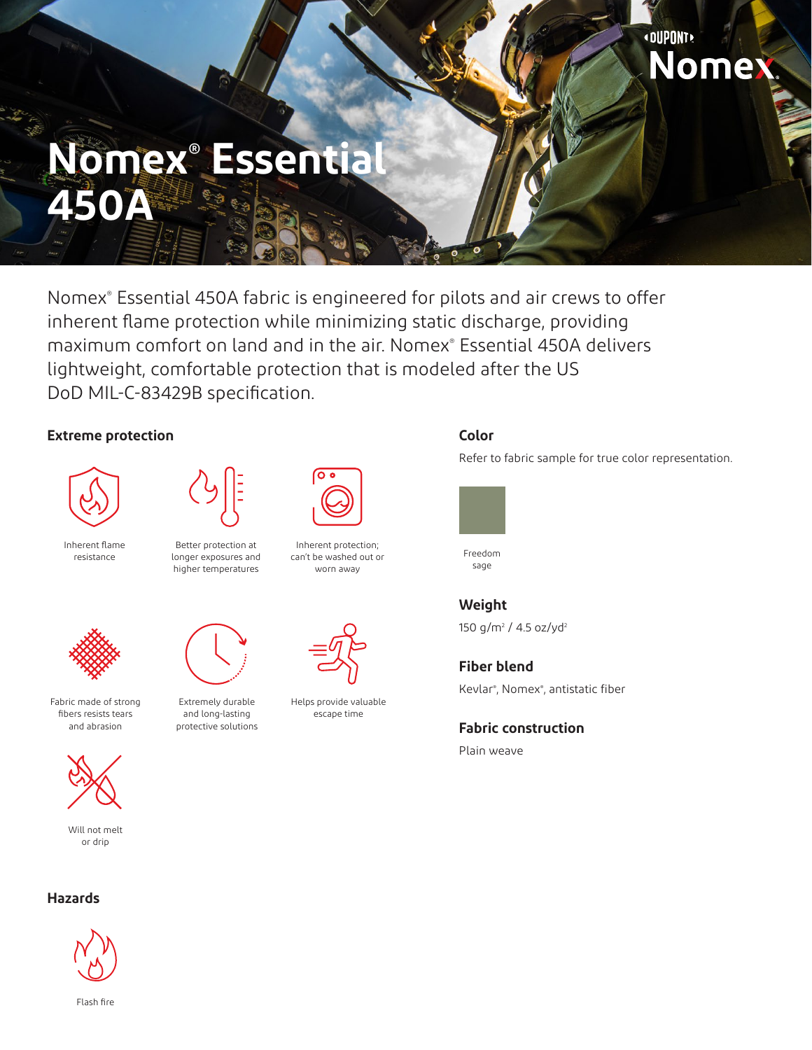## **«DUPONT** Nomex.

# **Nomex® Essential 450A**

Nomex® Essential 450A fabric is engineered for pilots and air crews to offer inherent flame protection while minimizing static discharge, providing maximum comfort on land and in the air. Nomex® Essential 450A delivers lightweight, comfortable protection that is modeled after the US DoD MIL-C-83429B specification.

#### **Extreme protection**



Inherent flame resistance



Better protection at longer exposures and higher temperatures



 $\overline{\mathbf{o}}\, \overline{\mathbf{o}}$ 

Inherent protection; can't be washed out or worn away



Fabric made of strong fibers resists tears and abrasion



Will not melt or drip



and long-lasting protective solutions



Helps provide valuable escape time

### **Color**

Refer to fabric sample for true color representation.



Freedom sage

**Weight** 150 g/m<sup>2</sup> / 4.5 oz/yd<sup>2</sup>

Kevlar® , Nomex® , antistatic fiber

**Fabric construction**

Plain weave

**Fiber blend**





Flash fire